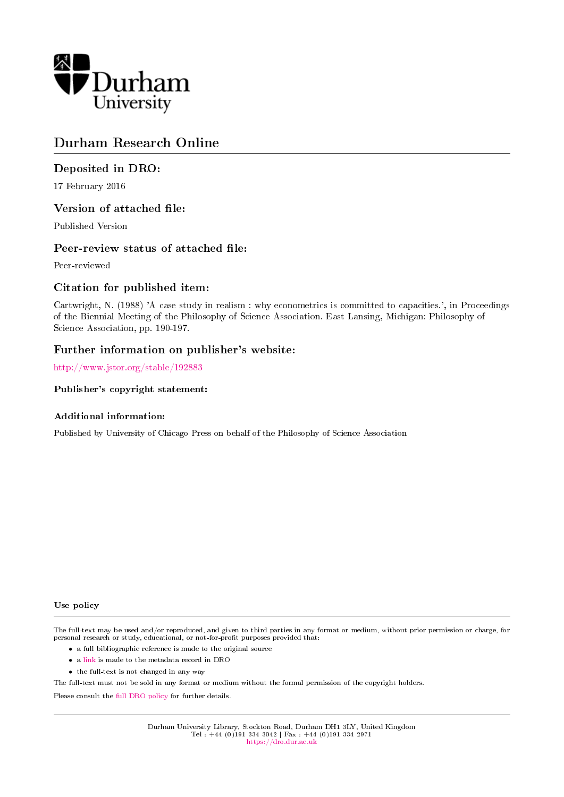

# Durham Research Online

## Deposited in DRO:

17 February 2016

## Version of attached file:

Published Version

## Peer-review status of attached file:

Peer-reviewed

## Citation for published item:

Cartwright, N. (1988) 'A case study in realism : why econometrics is committed to capacities.', in Proceedings of the Biennial Meeting of the Philosophy of Science Association. East Lansing, Michigan: Philosophy of Science Association, pp. 190-197.

## Further information on publisher's website:

[http://www.jstor.org/stable/192883](http://www.jstor.org/stable/192883 )

### Publisher's copyright statement:

### Additional information:

Published by University of Chicago Press on behalf of the Philosophy of Science Association

### Use policy

The full-text may be used and/or reproduced, and given to third parties in any format or medium, without prior permission or charge, for personal research or study, educational, or not-for-profit purposes provided that:

- a full bibliographic reference is made to the original source
- a [link](http://dro.dur.ac.uk/17611/) is made to the metadata record in DRO
- the full-text is not changed in any way

The full-text must not be sold in any format or medium without the formal permission of the copyright holders.

Please consult the [full DRO policy](https://dro.dur.ac.uk/policies/usepolicy.pdf) for further details.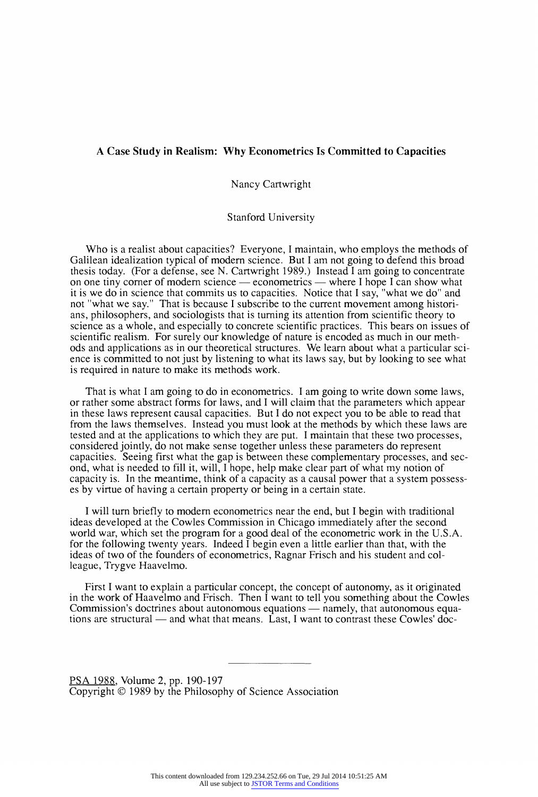### **A Case Study in Realism: Why Econometrics Is Committed to Capacities**

**Nancy Cartwright** 

**Stanford University** 

**Who is a realist about capacities? Everyone, I maintain, who employs the methods of**  Galilean idealization typical of modern science. But I am not going to defend this broad **thesis today. (For a defense, see N. Cartwright 1989.) Instead I am going to concentrate**  on one tiny corner of modern science — econometrics — where I hope I can show what **it is we do in science that commits us to capacities. Notice that I say, "what we do" and not "what we say." That is because I subscribe to the current movement among historians, philosophers, and sociologists that is turning its attention from scientific theory to science as a whole, and especially to concrete scientific practices. This bears on issues of scientific realism. For surely our knowledge of nature is encoded as much in our methods and applications as in our theoretical structures. We learn about what a particular science is committed to not just by listening to what its laws say, but by looking to see what is required in nature to make its methods work.** 

**That is what I am going to do in econometrics. I am going to write down some laws, or rather some abstract forms for laws, and I will claim that the parameters which appear in these laws represent causal capacities. But I do not expect you to be able to read that from the laws themselves. Instead you must look at the methods by which these laws are tested and at the applications to which they are put. I maintain that these two processes, considered jointly, do not make sense together unless these parameters do represent capacities. Seeing first what the gap is between these complementary processes, and second, what is needed to fill it, will, I hope, help make clear part of what my notion of capacity is. In the meantime, think of a capacity as a causal power that a system possesses by virtue of having a certain property or being in a certain state.** 

I will turn briefly to modern econometrics near the end, but I begin with traditional **ideas developed at the Cowles Commission in Chicago immediately after the second world war, which set the program for a good deal of the econometric work in the U.S.A. for the following twenty years. Indeed I begin even a little earlier than that, with the ideas of two of the founders of econometrics, Ragnar Frisch and his student and colleague, Trygve Haavelmo.** 

**First I want to explain a particular concept, the concept of autonomy, as it originated in the work of Haavelmo and Frisch. Then I want to tell you something about the Cowles**  Commission's doctrines about autonomous equations — namely, that autonomous equations are structural — and what that means. Last, I want to contrast these Cowles' doc-

**PSA 1988, Volume 2, pp. 190-197 Copyright ? 1989 by the Philosophy of Science Association**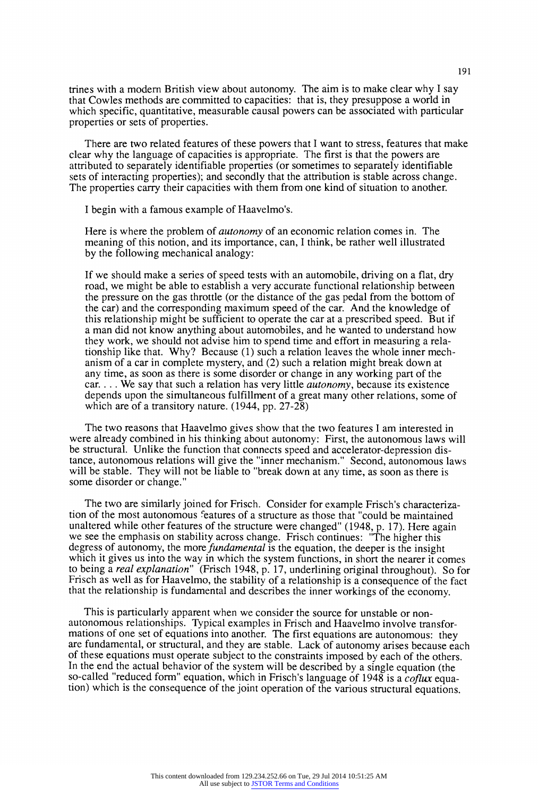**trines with a modem British view about autonomy. The aim is to make clear why I say that Cowles methods are committed to capacities: that is, they presuppose a world in which specific, quantitative, measurable causal powers can be associated with particular properties or sets of properties.** 

**There are two related features of these powers that I want to stress, features that make clear why the language of capacities is appropriate. The first is that the powers are attributed to separately identifiable properties (or sometimes to separately identifiable sets of interacting properties); and secondly that the attribution is stable across change. The properties carry their capacities with them from one kind of situation to another.** 

**I begin with a famous example of Haavelmo's.** 

**Here is where the problem of autonomy of an economic relation comes in. The meaning of this notion, and its importance, can, I think, be rather well illustrated by the following mechanical analogy:** 

**If we should make a series of speed tests with an automobile, driving on a flat, dry road, we might be able to establish a very accurate functional relationship between the pressure on the gas throttle (or the distance of the gas pedal from the bottom of the car) and the corresponding maximum speed of the car. And the knowledge of this relationship might be sufficient to operate the car at a prescribed speed. But if a man did not know anything about automobiles, and he wanted to understand how they work, we should not advise him to spend time and effort in measuring a relationship like that. Why? Because (1) such a relation leaves the whole inner mechanism of a car in complete mystery, and (2) such a relation might break down at any time, as soon as there is some disorder or change in any working part of the car... We say that such a relation has very little autonomy, because its existence depends upon the simultaneous fulfillment of a great many other relations, some of which are of a transitory nature. (1944, pp. 27-28)** 

**The two reasons that Haavelmo gives show that the two features I am interested in were already combined in his thinking about autonomy: First, the autonomous laws will be structural. Unlike the function that connects speed and accelerator-depression distance, autonomous relations will give the "inner mechanism." Second, autonomous laws**  will be stable. They will not be liable to "break down at any time, as soon as there is **some disorder or change."** 

**The two are similarly joined for Frisch. Consider for example Frisch's characterization of the most autonomous features of a structure as those that "could be maintained unaltered while other features of the structure were changed" (1948, p. 17). Here again we see the emphasis on stability across change. Frisch continues: "The higher this degress of autonomy, the more fundamental is the equation, the deeper is the insight which it gives us into the way in which the system functions, in short the nearer it comes to being a real explanation" (Frisch 1948, p. 17, underlining original throughout). So for Frisch as well as for Haavelmo, the stability of a relationship is a consequence of the fact that the relationship is fundamental and describes the inner workings of the economy.** 

**This is particularly apparent when we consider the source for unstable or nonautonomous relationships. Typical examples in Frisch and Haavelmo involve transformations of one set of equations into another. The first equations are autonomous: they are fundamental, or structural, and they are stable. Lack of autonomy arises because each of these equations must operate subject to the constraints imposed by each of the others.**  In the end the actual behavior of the system will be described by a single equation (the so-called "reduced form" equation, which in Frisch's language of 1948 is a *coflux* equa**tion) which is the consequence of the joint operation of the various structural equations.**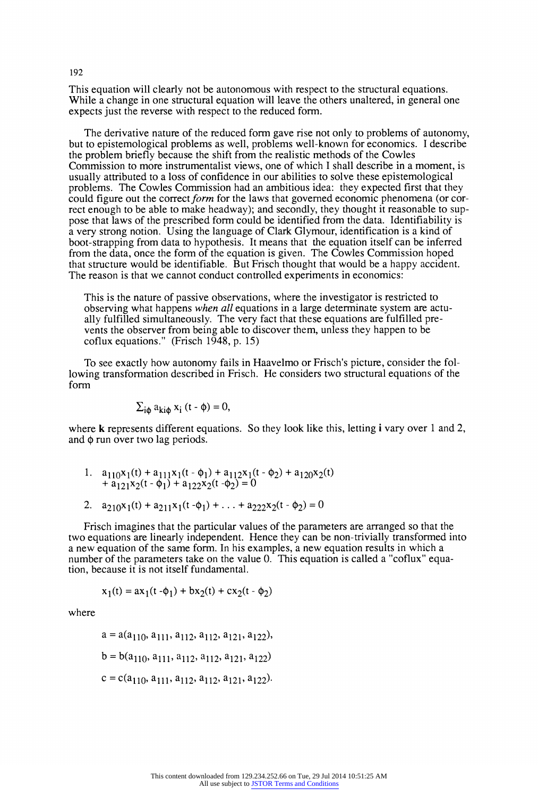**This equation will clearly not be autonomous with respect to the structural equations. While a change in one structural equation will leave the others unaltered, in general one expects just the reverse with respect to the reduced form.** 

**The derivative nature of the reduced form gave rise not only to problems of autonomy, but to epistemological problems as well, problems well-known for economics. I describe the problem briefly because the shift from the realistic methods of the Cowles Commission to more instrumentalist views, one of which I shall describe in a moment, is usually attributed to a loss of confidence in our abilities to solve these epistemological problems. The Cowles Commission had an ambitious idea: they expected first that they**  could figure out the correct *form* for the laws that governed economic phenomena (or cor**rect enough to be able to make headway); and secondly, they thought it reasonable to suppose that laws of the prescribed form could be identified from the data. Identifiability is a very strong notion. Using the language of Clark Glymour, identification is a kind of boot-strapping from data to hypothesis. It means that the equation itself can be inferred from the data, once the form of the equation is given. The Cowles Commission hoped that structure would be identifiable. But Frisch thought that would be a happy accident. The reason is that we cannot conduct controlled experiments in economics:** 

**This is the nature of passive observations, where the investigator is restricted to observing what happens when all equations in a large determinate system are actually fulfilled simultaneously. The very fact that these equations are fulfilled prevents the observer from being able to discover them, unless they happen to be coflux equations." (Frisch 1948, p. 15)** 

**To see exactly how autonomy fails in Haavelmo or Frisch's picture, consider the following transformation described in Frisch. He considers two structural equations of the form** 

$$
\sum_{i\phi} a_{ki\phi} x_i (t - \phi) = 0,
$$

**where k represents different equations. So they look like this, letting i vary over 1 and 2,**  and  $\phi$  run over two lag periods.

- **1.**  $a_{110}x_1(t) + a_{111}x_1(t \phi_1) + a_{112}x_1(t \phi_2) + a_{120}x_2(t)$  $+$ **a**<sub>121</sub>**x**<sub>2</sub>(**t** -  $\phi_1$ **)** + **a**<sub>122</sub>**x**<sub>2</sub>(**t** - $\phi_2$ ) = 0
- 2.  $a_{210}x_1(t) + a_{211}x_1(t \phi_1) + ... + a_{222}x_2(t \phi_2) = 0$

**Frisch imagines that the particular values of the parameters are arranged so that the two equations are linearly independent. Hence they can be non-trivially transformed into a new equation of the same form. In his examples, a new equation results in which a number of the parameters take on the value 0. This equation is called a "coflux" equation, because it is not itself fundamental.** 

$$
x_1(t) = ax_1(t - \phi_1) + bx_2(t) + cx_2(t - \phi_2)
$$

**where** 

$$
a = a(a_{110}, a_{111}, a_{112}, a_{112}, a_{121}, a_{122}),
$$
  
\n
$$
b = b(a_{110}, a_{111}, a_{112}, a_{112}, a_{121}, a_{122})
$$
  
\n
$$
c = c(a_{110}, a_{111}, a_{112}, a_{112}, a_{121}, a_{122}).
$$

#### **192**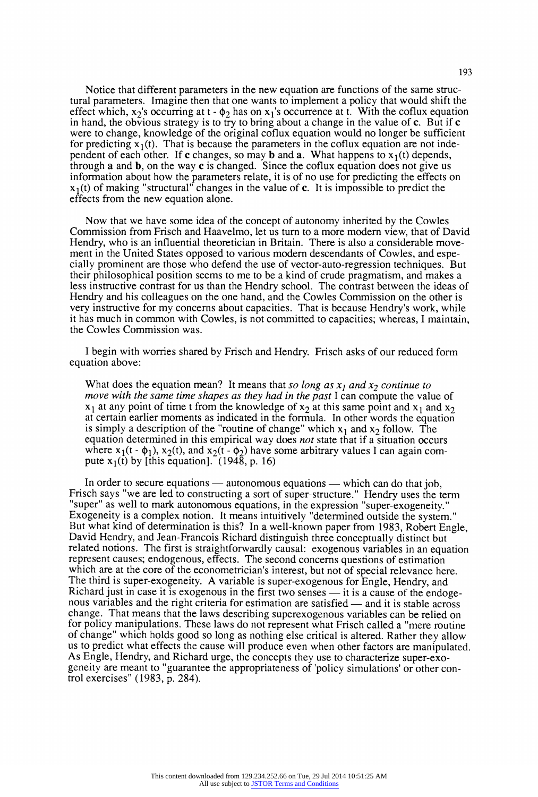**Notice that different parameters in the new equation are functions of the same structural parameters. Imagine then that one wants to implement a policy that would shift the**  effect which,  $x_2$ 's occurring at  $t - \phi_2$  has on  $x_1$ 's occurrence at t. With the coflux equation in hand, the obvious strategy is to try to bring about a change in the value of **c**. But if **c were to change, knowledge of the original coflux equation would no longer be sufficient**  for predicting  $x_1(t)$ . That is because the parameters in the coflux equation are not inde**pendent of each other. If c changes, so may b and a. What happens to**  $x_1(t)$  **depends, through a and b, on the way c is changed. Since the coflux equation does not give us information about how the parameters relate, it is of no use for predicting the effects on**   $x_1(t)$  of making "structural" changes in the value of c. It is impossible to predict the **effects from the new equation alone.** 

**Now that we have some idea of the concept of autonomy inherited by the Cowles Commission from Frisch and Haavelmo, let us turn to a more modern view, that of David Hendry, who is an influential theoretician in Britain. There is also a considerable movement in the United States opposed to various modern descendants of Cowles, and especially prominent are those who defend the use of vector-auto-regression techniques. But their philosophical position seems to me to be a kind of crude pragmatism, and makes a less instructive contrast for us than the Hendry school. The contrast between the ideas of Hendry and his colleagues on the one hand, and the Cowles Commission on the other is very instructive for my concerns about capacities. That is because Hendry's work, while it has much in common with Cowles, is not committed to capacities; whereas, I maintain, the Cowles Commission was.** 

**I begin with worries shared by Frisch and Hendry. Frisch asks of our reduced form equation above:** 

What does the equation mean? It means that so long as  $x_1$  and  $x_2$  continue to **move with the same time shapes as they had in the past I can compute the value of**   $x_1$  at any point of time t from the knowledge of  $x_2$  at this same point and  $x_1$  and  $x_2$ **at certain earlier moments as indicated in the formula. In other words the equation**  is simply a description of the "routine of change" which  $x_1$  and  $x_2$  follow. The **equation determined in this empirical way does not state that if a situation occurs**  where  $x_1(t - \phi_1)$ ,  $x_2(t)$ , and  $x_2(t - \phi_2)$  have some arbitrary values I can again compute  $x_1(t)$  by [this equation]. (1948, p. 16)

In order to secure equations — autonomous equations — which can do that job, Frisch says "we are led to constructing a sort of super-structure." Hendry uses the term **"super" as well to mark autonomous equations, in the expression "super-exogeneity."**  But what kind of determination is this? In a well-known paper from 1983, Robert Engle, David Hendry, and Jean-Francois Richard distinguish three conceptually distinct but **related notions. The first is straightforwardly causal: exogenous variables in an equation represent causes; endogenous, effects. The second concerns questions of estimation which are at the core of the econometrician's interest, but not of special relevance here. The third is super-exogeneity. A variable is super-exogenous for Engle, Hendry, and**  Richard just in case it is exogenous in the first two senses — it is a cause of the endogenous variables and the right criteria for estimation are satisfied — and it is stable across **change. That means that the laws describing superexogenous variables can be relied on for policy manipulations. These laws do not represent what Frisch called a "mere routine of change" which holds good so long as nothing else critical is altered. Rather they allow**  As Engle, Hendry, and Richard urge, the concepts they use to characterize super-exo**geneity are meant to "guarantee the appropriateness of 'policy simulations' or other control exercises" (1983, p. 284).**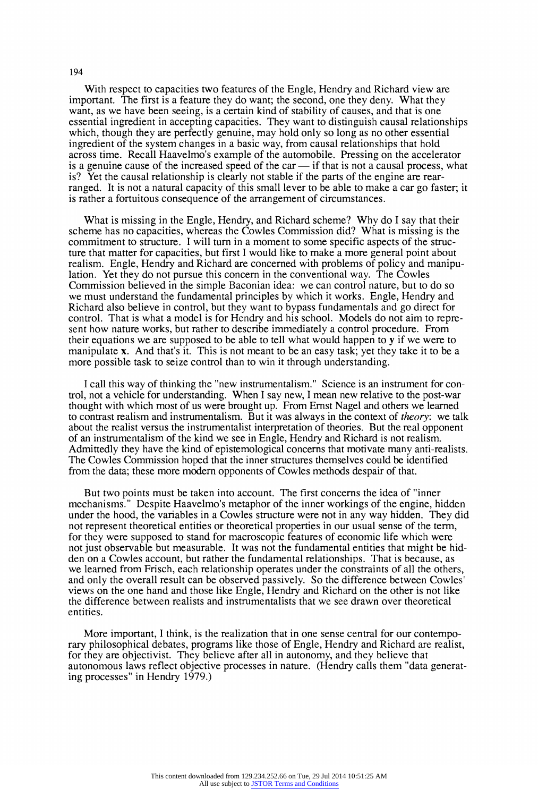**With respect to capacities two features of the Engle, Hendry and Richard view are important. The first is a feature they do want; the second, one they deny. What they want, as we have been seeing, is a certain kind of stability of causes, and that is one essential ingredient in accepting capacities. They want to distinguish causal relationships which, though they are perfectly genuine, may hold only so long as no other essential ingredient of the system changes in a basic way, from causal relationships that hold across time. Recall Haavelmo's example of the automobile. Pressing on the accelerator**  is a genuine cause of the increased speed of the car — if that is not a causal process, what is? Yet the causal relationship is clearly not stable if the parts of the engine are rear**ranged. It is not a natural capacity of this small lever to be able to make a car go faster; it is rather a fortuitous consequence of the arrangement of circumstances.** 

**What is missing in the Engle, Hendry, and Richard scheme? Why do I say that their**  scheme has no capacities, whereas the Cowles Commission did? What is missing is the **commitment to structure. I will turn in a moment to some specific aspects of the structure that matter for capacities, but first I would like to make a more general point about realism. Engle, Hendry and Richard are concerned with problems of policy and manipulation. Yet they do not pursue this concern in the conventional way. The Cowles Commission believed in the simple Baconian idea: we can control nature, but to do so we must understand the fundamental principles by which it works. Engle, Hendry and Richard also believe in control, but they want to bypass fundamentals and go direct for control. That is what a model is for Hendry and his school. Models do not aim to represent how nature works, but rather to describe immediately a control procedure. From their equations we are supposed to be able to tell what would happen to y if we were to manipulate x. And that's it. This is not meant to be an easy task; yet they take it to be a more possible task to seize control than to win it through understanding.** 

**I call this way of thinking the "new instrumentalism." Science is an instrument for control, not a vehicle for understanding. When I say new, I mean new relative to the post-war thought with which most of us were brought up. From Ernst Nagel and others we learned to contrast realism and instrumentalism. But it was always in the context of theory: we talk about the realist versus the instrumentalist interpretation of theories. But the real opponent of an instrumentalism of the kind we see in Engle, Hendry and Richard is not realism. Admittedly they have the kind of epistemological concerns that motivate many anti-realists. The Cowles Commission hoped that the inner structures themselves could be identified from the data; these more modern opponents of Cowles methods despair of that.** 

**But two points must be taken into account. The first concerns the idea of "inner mechanisms." Despite Haavelmo's metaphor of the inner workings of the engine, hidden under the hood, the variables in a Cowles structure were not in any way hidden. They did not represent theoretical entities or theoretical properties in our usual sense of the term, for they were supposed to stand for macroscopic features of economic life which were not just observable but measurable. It was not the fundamental entities that might be hidden on a Cowles account, but rather the fundamental relationships. That is because, as we learned from Frisch, each relationship operates under the constraints of all the others, and only the overall result can be observed passively. So the difference between Cowles' views on the one hand and those like Engle, Hendry and Richard on the other is not like the difference between realists and instrumentalists that we see drawn over theoretical entities.** 

**More important, I think, is the realization that in one sense central for our contemporary philosophical debates, programs like those of Engle, Hendry and Richard are realist, for they are objectivist. They believe after all in autonomy, and they believe that autonomous laws reflect objective processes in nature. (Hendry calls them "data generating processes" in Hendry 1979.)** 

#### **194**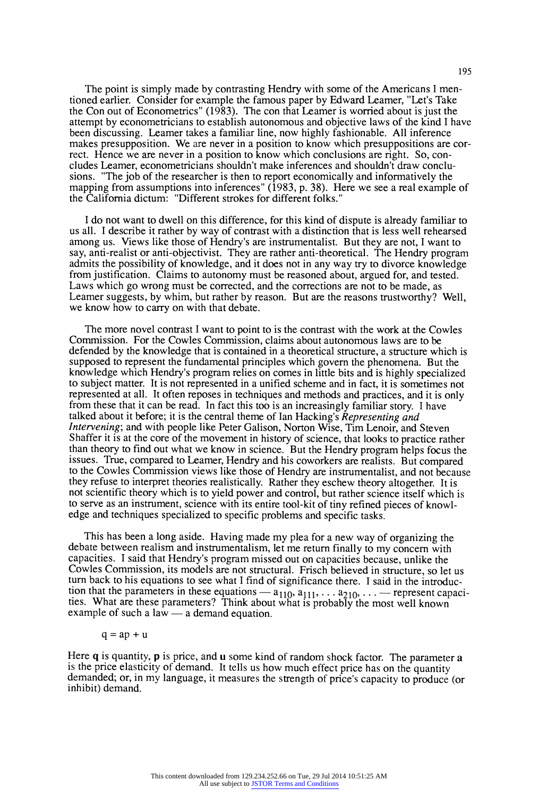**The point is simply made by contrasting Hendry with some of the Americans I mentioned earlier. Consider for example the famous paper by Edward Leamer, "Let's Take the Con out of Econometrics" (1983). The con that Leamer is worried about is just the attempt by econometricians to establish autonomous and objective laws of the kind I have been discussing. Leamer takes a familiar line, now highly fashionable. All inference makes presupposition. We are never in a position to know which presuppositions are correct. Hence we are never in a position to know which conclusions are right. So, concludes Leamer, econometricians shouldn't make inferences and shouldn't draw conclusions. "The job of the researcher is then to report economically and informatively the mapping from assumptions into inferences" (1983, p. 38). Here we see a real example of the California dictum: "Different strokes for different folks."** 

**I do not want to dwell on this difference, for this kind of dispute is already familiar to us all. I describe it rather by way of contrast with a distinction that is less well rehearsed among us. Views like those of Hendry's are instrumentalist. But they are not, I want to say, anti-realist or anti-objectivist. They are rather anti-theoretical. The Hendry program admits the possibility of knowledge, and it does not in any way try to divorce knowledge from justification. Claims to autonomy must be reasoned about, argued for, and tested. Laws which go wrong must be corrected, and the corrections are not to be made, as Leamer suggests, by whim, but rather by reason. But are the reasons trustworthy? Well, we know how to carry on with that debate.** 

**The more novel contrast I want to point to is the contrast with the work at the Cowles Commission. For the Cowles Commission, claims about autonomous laws are to be defended by the knowledge that is contained in a theoretical structure, a structure which is supposed to represent the fundamental principles which govern the phenomena. But the knowledge which Hendry's program relies on comes in little bits and is highly specialized to subject matter. It is not represented in a unified scheme and in fact, it is sometimes not represented at all. It often reposes in techniques and methods and practices, and it is only from these that it can be read. In fact this too is an increasingly familiar story. I have talked about it before; it is the central theme of Ian Hacking's Representing and Intervening; and with people like Peter Galison, Norton Wise, Tim Lenoir, and Steven Shaffer it is at the core of the movement in history of science, that looks to practice rather than theory to find out what we know in science. But the Hendry program helps focus the**  to the Cowles Commission views like those of Hendry are instrumentalist, and not because **they refuse to interpret theories realistically. Rather they eschew theory altogether. It is not scientific theory which is to yield power and control, but rather science itself which is to serve as an instrument, science with its entire tool-kit of tiny refined pieces of knowledge and techniques specialized to specific problems and specific tasks.** 

**This has been a long aside. Having made my plea for a new way of organizing the debate between realism and instrumentalism, let me return finally to my concern with capacities. I said that Hendry's program missed out on capacities because, unlike the Cowles Commission, its models are not structural. Frisch believed in structure, so let us turn back to his equations to see what I find of significance there. I said in the introduc**tion that the parameters in these equations  $- a_{110}$ ,  $a_{111}$ ,  $\ldots a_{210}$ ,  $\ldots$  -represent capacities. What are these parameters? Think about what is probably the most well known example of such a law — a demand equation.

$$
q = a p + u \\
$$

Here **q** is quantity, **p** is price, and **u** some kind of random shock factor. The parameter **a is the price elasticity of demand. It tells us how much effect price has on the quantity demanded; or, in my language, it measures the strength of price's capacity to produce (or inhibit) demand.**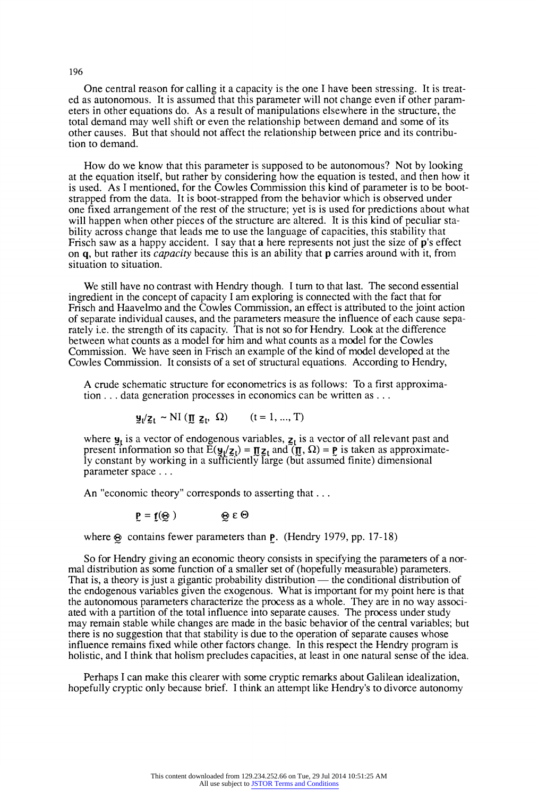**One central reason for calling it a capacity is the one I have been stressing. It is treated as autonomous. It is assumed that this parameter will not change even if other parameters in other equations do. As a result of manipulations elsewhere in the structure, the total demand may well shift or even the relationship between demand and some of its other causes. But that should not affect the relationship between price and its contribution to demand.** 

**How do we know that this parameter is supposed to be autonomous? Not by looking at the equation itself, but rather by considering how the equation is tested, and then how it is used. As I mentioned, for the Cowles Commission this kind of parameter is to be bootstrapped from the data. It is boot-strapped from the behavior which is observed under one fixed arrangement of the rest of the structure; yet is is used for predictions about what will happen when other pieces of the structure are altered. It is this kind of peculiar stability across change that leads me to use the language of capacities, this stability that Frisch saw as a happy accident. I say that a here represents not just the size of p's effect on q, but rather its capacity because this is an ability that p carries around with it, from situation to situation.** 

We still have no contrast with Hendry though. I turn to that last. The second essential **ingredient in the concept of capacity I am exploring is connected with the fact that for Frisch and Haavelmo and the Cowles Commission, an effect is attributed to the joint action of separate individual causes, and the parameters measure the influence of each cause separately i.e. the strength of its capacity. That is not so for Hendry. Look at the difference between what counts as a model for him and what counts as a model for the Cowles Commission. We have seen in Frisch an example of the kind of model developed at the Cowles Commission. It consists of a set of structural equations. According to Hendry,** 

**A crude schematic structure for econometrics is as follows: To a first approximation ... data generation processes in economics can be written as ...** 

$$
\mathbf{y}_t / \mathbf{z}_t \sim NI \left( \mathbf{I} \mathbf{I} \mathbf{z}_t, \Omega \right) \qquad (t = 1, ..., T)
$$

where  $\mathbf{y}_t$  is a vector of endogenous variables,  $\mathbf{z}_t$  is a vector of all relevant past and present information so that  $\mathbf{E}(\mathbf{y}/\mathbf{z}_t) = \mathbf{\Pi} \mathbf{z}_t$  and  $\mathbf{I}(\mathbf{\Pi}, \Omega) = \mathbf{p}$  is taken as approximate**ly constant by working in a sufficiently large (but assumed finite) dimensional parameter space ...** 

**An "economic theory" corresponds to asserting that ...** 

$$
\mathbf{P} = \mathbf{f}(\mathbf{\Theta}) \qquad \qquad \mathbf{\Theta} \in \Theta
$$

where  $\otimes$  contains fewer parameters than **P**. (Hendry 1979, pp. 17-18)

**So for Hendry giving an economic theory consists in specifying the parameters of a normal distribution as some function of a smaller set of (hopefully measurable) parameters.**  That is, a theory is just a gigantic probability distribution — the conditional distribution of **the endogenous variables given the exogenous. What is important for my point here is that the autonomous parameters characterize the process as a whole. They are in no way associated with a partition of the total influence into separate causes. The process under study may remain stable while changes are made in the basic behavior of the central variables; but there is no suggestion that that stability is due to the operation of separate causes whose influence remains fixed while other factors change. In this respect the Hendry program is holistic, and I think that holism precludes capacities, at least in one natural sense of the idea.** 

**Perhaps I can make this clearer with some cryptic remarks about Galilean idealization, hopefully cryptic only because brief. I think an attempt like Hendry's to divorce autonomy**